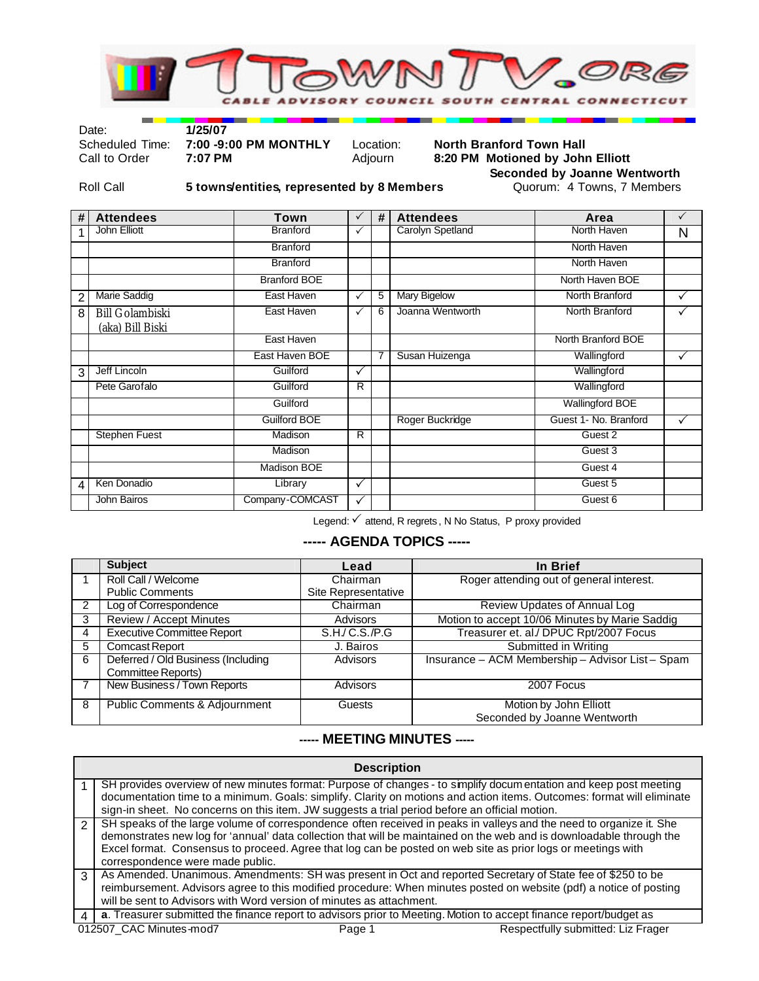

Date: **1/25/07**<br>Scheduled Time: **7:00 -9:00 PM MONTHLY** 

Scheduled Time: **7:00 -9:00 PM MONTHLY** Location: **North Branford Town Hall**<br>Call to Order **7:07 PM Adjourn 8:20 PM Motioned by John** 8:20 PM Motioned by John Elliott **Seconded by Joanne Wentworth**<br>Quorum: 4 Towns, 7 Members

**Roll Call 5 towns/entities, represented by 8 Members** 

| # | <b>Attendees</b>                           | Town                | $\checkmark$ | # | <b>Attendees</b>    | Area                   | $\checkmark$ |
|---|--------------------------------------------|---------------------|--------------|---|---------------------|------------------------|--------------|
|   | John Elliott                               | <b>Branford</b>     | ✓            |   | Carolyn Spetland    | North Haven            | N            |
|   |                                            | <b>Branford</b>     |              |   |                     | North Haven            |              |
|   |                                            | <b>Branford</b>     |              |   |                     | North Haven            |              |
|   |                                            | <b>Branford BOE</b> |              |   |                     | North Haven BOE        |              |
| 2 | <b>Marie Saddig</b>                        | East Haven          | ✓            | 5 | <b>Mary Bigelow</b> | North Branford         | $\checkmark$ |
| 8 | <b>Bill Golambiski</b><br>(aka) Bill Biski | East Haven          | ✓            | 6 | Joanna Wentworth    | North Branford         |              |
|   |                                            | East Haven          |              |   |                     | North Branford BOE     |              |
|   |                                            | East Haven BOE      |              | 7 | Susan Huizenga      | Wallingford            | ✓            |
| 3 | Jeff Lincoln                               | Guilford            | $\checkmark$ |   |                     | Wallingford            |              |
|   | Pete Garofalo                              | Guilford            | R            |   |                     | Wallingford            |              |
|   |                                            | Guilford            |              |   |                     | <b>Wallingford BOE</b> |              |
|   |                                            | <b>Guilford BOE</b> |              |   | Roger Buckridge     | Guest 1- No. Branford  | $\checkmark$ |
|   | <b>Stephen Fuest</b>                       | Madison             | R            |   |                     | Guest 2                |              |
|   |                                            | Madison             |              |   |                     | Guest 3                |              |
|   |                                            | Madison BOE         |              |   |                     | Guest 4                |              |
| 4 | Ken Donadio                                | Library             | $\checkmark$ |   |                     | Guest 5                |              |
|   | John Bairos                                | Company-COMCAST     | ✓            |   |                     | Guest 6                |              |

Legend:  $\checkmark$  attend, R regrets , N No Status, P proxy provided

## **----- AGENDA TOPICS -----**

|                | <b>Subject</b>                           | Lead                | In Brief                                         |
|----------------|------------------------------------------|---------------------|--------------------------------------------------|
|                | Roll Call / Welcome                      | Chairman            | Roger attending out of general interest.         |
|                | <b>Public Comments</b>                   | Site Representative |                                                  |
| $\overline{2}$ | Log of Correspondence                    | Chairman            | Review Updates of Annual Log                     |
| 3              | <b>Review / Accept Minutes</b>           | <b>Advisors</b>     | Motion to accept 10/06 Minutes by Marie Saddig   |
| 4              | <b>Executive Committee Report</b>        | S.H/C.S./P.G        | Treasurer et. al./ DPUC Rpt/2007 Focus           |
| 5              | <b>Comcast Report</b>                    | J. Bairos           | Submitted in Writing                             |
| 6              | Deferred / Old Business (Including       | <b>Advisors</b>     | Insurance - ACM Membership - Advisor List - Spam |
|                | Committee Reports)                       |                     |                                                  |
|                | New Business / Town Reports              | <b>Advisors</b>     | 2007 Focus                                       |
| 8              | <b>Public Comments &amp; Adjournment</b> | Guests              | Motion by John Elliott                           |
|                |                                          |                     | Seconded by Joanne Wentworth                     |

## **----- MEETING MINUTES -----**

|               | <b>Description</b>                                                                                                                                                                                                                                                                                                                                                                             |  |  |  |  |
|---------------|------------------------------------------------------------------------------------------------------------------------------------------------------------------------------------------------------------------------------------------------------------------------------------------------------------------------------------------------------------------------------------------------|--|--|--|--|
|               | SH provides overview of new minutes format: Purpose of changes - to simplify docum entation and keep post meeting<br>documentation time to a minimum. Goals: simplify. Clarity on motions and action items. Outcomes: format will eliminate<br>sign-in sheet. No concerns on this item. JW suggests a trial period before an official motion.                                                  |  |  |  |  |
| $\mathcal{P}$ | SH speaks of the large volume of correspondence often received in peaks in valleys and the need to organize it. She<br>demonstrates new log for 'annual' data collection that will be maintained on the web and is downloadable through the<br>Excel format. Consensus to proceed. Agree that log can be posted on web site as prior logs or meetings with<br>correspondence were made public. |  |  |  |  |
| 3             | As Amended. Unanimous. Amendments: SH was present in Oct and reported Secretary of State fee of \$250 to be<br>reimbursement. Advisors agree to this modified procedure: When minutes posted on website (pdf) a notice of posting<br>will be sent to Advisors with Word version of minutes as attachment.                                                                                      |  |  |  |  |
| 4             | a. Treasurer submitted the finance report to advisors prior to Meeting. Motion to accept finance report/budget as                                                                                                                                                                                                                                                                              |  |  |  |  |
|               | 012507_CAC Minutes-mod7<br>Respectfully submitted: Liz Frager<br>Page 1                                                                                                                                                                                                                                                                                                                        |  |  |  |  |